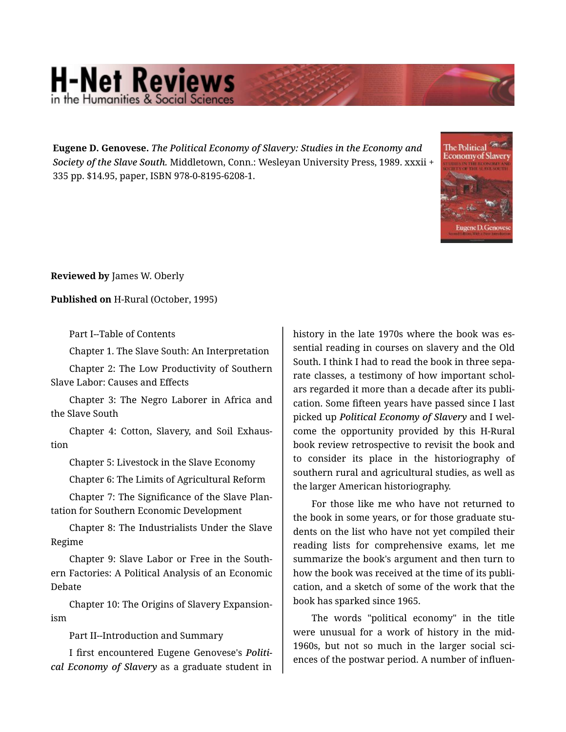## **H-Net Reviews**

**Eugene D. Genovese.** *The Political Economy of Slavery: Studies in the Economy and Society of the Slave South.* Middletown, Conn.: Wesleyan University Press, 1989. xxxii + 335 pp. \$14.95, paper, ISBN 978-0-8195-6208-1.



**Reviewed by** James W. Oberly

**Published on** H-Rural (October, 1995)

Part I--Table of Contents

Chapter 1. The Slave South: An Interpretation

Chapter 2: The Low Productivity of Southern Slave Labor: Causes and Effects

Chapter 3: The Negro Laborer in Africa and the Slave South

Chapter 4: Cotton, Slavery, and Soil Exhaus‐ tion

Chapter 5: Livestock in the Slave Economy

Chapter 6: The Limits of Agricultural Reform

Chapter 7: The Significance of the Slave Plan‐ tation for Southern Economic Development

Chapter 8: The Industrialists Under the Slave Regime

Chapter 9: Slave Labor or Free in the South‐ ern Factories: A Political Analysis of an Economic Debate

Chapter 10: The Origins of Slavery Expansion‐ ism

Part II--Introduction and Summary

I first encountered Eugene Genovese's *Politi‐ cal Economy of Slavery* as a graduate student in history in the late 1970s where the book was es‐ sential reading in courses on slavery and the Old South. I think I had to read the book in three sepa‐ rate classes, a testimony of how important schol‐ ars regarded it more than a decade after its publi‐ cation. Some fifteen years have passed since I last picked up *Political Economy of Slavery* and I wel‐ come the opportunity provided by this H-Rural book review retrospective to revisit the book and to consider its place in the historiography of southern rural and agricultural studies, as well as the larger American historiography.

For those like me who have not returned to the book in some years, or for those graduate stu‐ dents on the list who have not yet compiled their reading lists for comprehensive exams, let me summarize the book's argument and then turn to how the book was received at the time of its publi‐ cation, and a sketch of some of the work that the book has sparked since 1965.

The words "political economy" in the title were unusual for a work of history in the mid-1960s, but not so much in the larger social sci‐ ences of the postwar period. A number of influen‐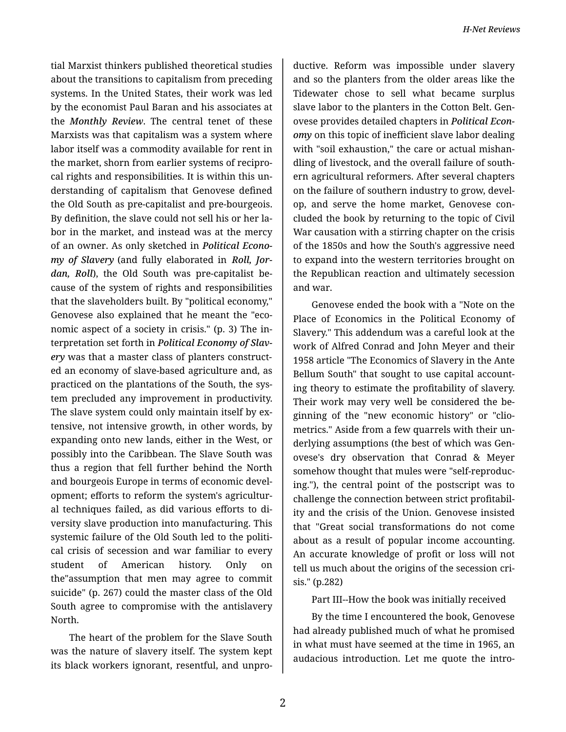tial Marxist thinkers published theoretical studies about the transitions to capitalism from preceding systems. In the United States, their work was led by the economist Paul Baran and his associates at the *Monthly Review*. The central tenet of these Marxists was that capitalism was a system where labor itself was a commodity available for rent in the market, shorn from earlier systems of recipro‐ cal rights and responsibilities. It is within this un‐ derstanding of capitalism that Genovese defined the Old South as pre-capitalist and pre-bourgeois. By definition, the slave could not sell his or her la‐ bor in the market, and instead was at the mercy of an owner. As only sketched in *Political Econo‐ my of Slavery* (and fully elaborated in *Roll, Jor‐ dan, Roll*), the Old South was pre-capitalist be‐ cause of the system of rights and responsibilities that the slaveholders built. By "political economy," Genovese also explained that he meant the "eco‐ nomic aspect of a society in crisis." (p. 3) The in‐ terpretation set forth in *Political Economy of Slav‐ ery* was that a master class of planters construct‐ ed an economy of slave-based agriculture and, as practiced on the plantations of the South, the sys‐ tem precluded any improvement in productivity. The slave system could only maintain itself by ex‐ tensive, not intensive growth, in other words, by expanding onto new lands, either in the West, or possibly into the Caribbean. The Slave South was thus a region that fell further behind the North and bourgeois Europe in terms of economic devel‐ opment; efforts to reform the system's agricultur‐ al techniques failed, as did various efforts to di‐ versity slave production into manufacturing. This systemic failure of the Old South led to the politi‐ cal crisis of secession and war familiar to every student of American history. Only on the"assumption that men may agree to commit suicide" (p. 267) could the master class of the Old South agree to compromise with the antislavery North.

The heart of the problem for the Slave South was the nature of slavery itself. The system kept its black workers ignorant, resentful, and unpro‐

ductive. Reform was impossible under slavery and so the planters from the older areas like the Tidewater chose to sell what became surplus slave labor to the planters in the Cotton Belt. Gen‐ ovese provides detailed chapters in *Political Econ‐ omy* on this topic of inefficient slave labor dealing with "soil exhaustion," the care or actual mishan‐ dling of livestock, and the overall failure of south‐ ern agricultural reformers. After several chapters on the failure of southern industry to grow, devel‐ op, and serve the home market, Genovese con‐ cluded the book by returning to the topic of Civil War causation with a stirring chapter on the crisis of the 1850s and how the South's aggressive need to expand into the western territories brought on the Republican reaction and ultimately secession and war.

Genovese ended the book with a "Note on the Place of Economics in the Political Economy of Slavery." This addendum was a careful look at the work of Alfred Conrad and John Meyer and their 1958 article "The Economics of Slavery in the Ante Bellum South" that sought to use capital account‐ ing theory to estimate the profitability of slavery. Their work may very well be considered the be‐ ginning of the "new economic history" or "clio‐ metrics." Aside from a few quarrels with their un‐ derlying assumptions (the best of which was Gen‐ ovese's dry observation that Conrad & Meyer somehow thought that mules were "self-reproduc‐ ing."), the central point of the postscript was to challenge the connection between strict profitabil‐ ity and the crisis of the Union. Genovese insisted that "Great social transformations do not come about as a result of popular income accounting. An accurate knowledge of profit or loss will not tell us much about the origins of the secession cri‐ sis." (p.282)

## Part III--How the book was initially received

By the time I encountered the book, Genovese had already published much of what he promised in what must have seemed at the time in 1965, an audacious introduction. Let me quote the intro‐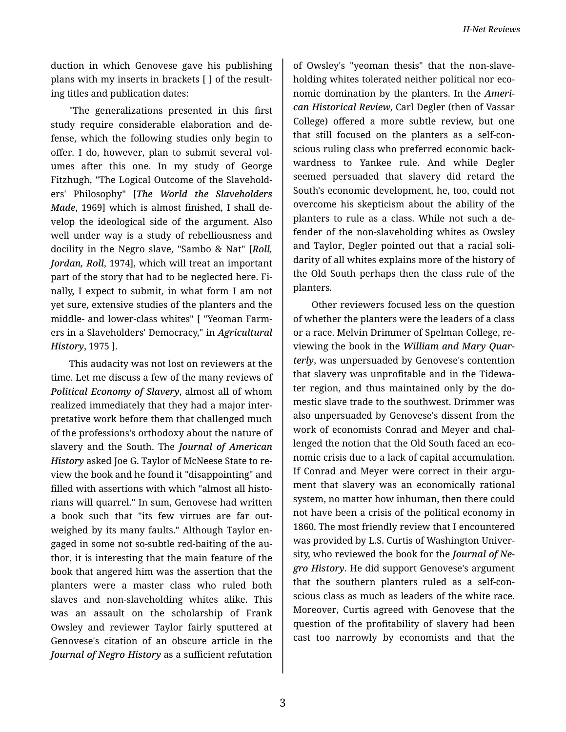duction in which Genovese gave his publishing plans with my inserts in brackets [ ] of the result‐ ing titles and publication dates:

"The generalizations presented in this first study require considerable elaboration and de‐ fense, which the following studies only begin to offer. I do, however, plan to submit several vol‐ umes after this one. In my study of George Fitzhugh, "The Logical Outcome of the Slavehold‐ ers' Philosophy" [*The World the Slaveholders Made*, 1969] which is almost finished, I shall de‐ velop the ideological side of the argument. Also well under way is a study of rebelliousness and docility in the Negro slave, "Sambo & Nat" [*Roll, Jordan, Roll*, 1974], which will treat an important part of the story that had to be neglected here. Fi‐ nally, I expect to submit, in what form I am not yet sure, extensive studies of the planters and the middle- and lower-class whites" [ "Yeoman Farm‐ ers in a Slaveholders' Democracy," in *Agricultural History*, 1975 ].

This audacity was not lost on reviewers at the time. Let me discuss a few of the many reviews of *Political Economy of Slavery*, almost all of whom realized immediately that they had a major inter‐ pretative work before them that challenged much of the professions's orthodoxy about the nature of slavery and the South. The *Journal of American History* asked Joe G. Taylor of McNeese State to re‐ view the book and he found it "disappointing" and filled with assertions with which "almost all histo‐ rians will quarrel." In sum, Genovese had written a book such that "its few virtues are far out‐ weighed by its many faults." Although Taylor en‐ gaged in some not so-subtle red-baiting of the au‐ thor, it is interesting that the main feature of the book that angered him was the assertion that the planters were a master class who ruled both slaves and non-slaveholding whites alike. This was an assault on the scholarship of Frank Owsley and reviewer Taylor fairly sputtered at Genovese's citation of an obscure article in the *Journal of Negro History* as a sufficient refutation

of Owsley's "yeoman thesis" that the non-slave‐ holding whites tolerated neither political nor eco‐ nomic domination by the planters. In the *Ameri‐ can Historical Review*, Carl Degler (then of Vassar College) offered a more subtle review, but one that still focused on the planters as a self-con‐ scious ruling class who preferred economic back‐ wardness to Yankee rule. And while Degler seemed persuaded that slavery did retard the South's economic development, he, too, could not overcome his skepticism about the ability of the planters to rule as a class. While not such a de‐ fender of the non-slaveholding whites as Owsley and Taylor, Degler pointed out that a racial soli‐ darity of all whites explains more of the history of the Old South perhaps then the class rule of the planters.

Other reviewers focused less on the question of whether the planters were the leaders of a class or a race. Melvin Drimmer of Spelman College, re‐ viewing the book in the *William and Mary Quar‐ terly*, was unpersuaded by Genovese's contention that slavery was unprofitable and in the Tidewa‐ ter region, and thus maintained only by the do‐ mestic slave trade to the southwest. Drimmer was also unpersuaded by Genovese's dissent from the work of economists Conrad and Meyer and chal‐ lenged the notion that the Old South faced an eco‐ nomic crisis due to a lack of capital accumulation. If Conrad and Meyer were correct in their argument that slavery was an economically rational system, no matter how inhuman, then there could not have been a crisis of the political economy in 1860. The most friendly review that I encountered was provided by L.S. Curtis of Washington Univer‐ sity, who reviewed the book for the *Journal of Ne‐ gro History*. He did support Genovese's argument that the southern planters ruled as a self-con‐ scious class as much as leaders of the white race. Moreover, Curtis agreed with Genovese that the question of the profitability of slavery had been cast too narrowly by economists and that the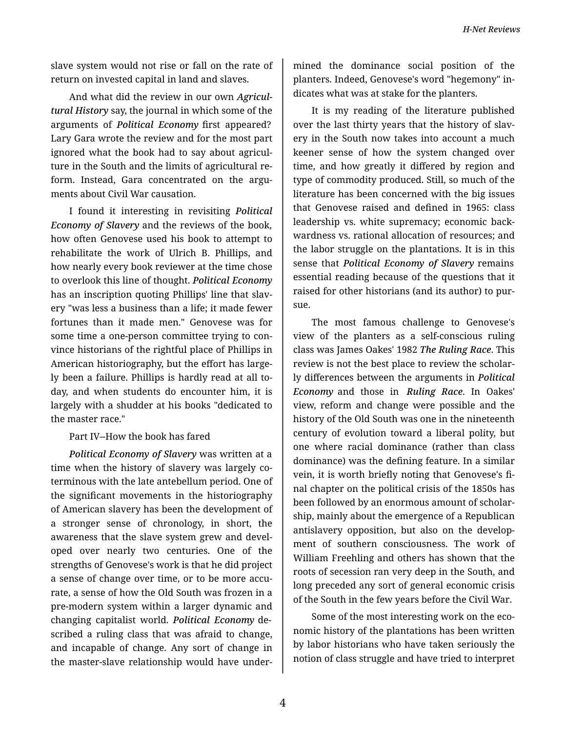*H-Net Reviews*

slave system would not rise or fall on the rate of return on invested capital in land and slaves.

And what did the review in our own *Agricul‐ tural History* say, the journal in which some of the arguments of *Political Economy* first appeared? Lary Gara wrote the review and for the most part ignored what the book had to say about agricul‐ ture in the South and the limits of agricultural re‐ form. Instead, Gara concentrated on the arguments about Civil War causation.

I found it interesting in revisiting *Political Economy of Slavery* and the reviews of the book, how often Genovese used his book to attempt to rehabilitate the work of Ulrich B. Phillips, and how nearly every book reviewer at the time chose to overlook this line of thought. *Political Economy* has an inscription quoting Phillips' line that slav‐ ery "was less a business than a life; it made fewer fortunes than it made men." Genovese was for some time a one-person committee trying to con‐ vince historians of the rightful place of Phillips in American historiography, but the effort has large‐ ly been a failure. Phillips is hardly read at all to‐ day, and when students do encounter him, it is largely with a shudder at his books "dedicated to the master race."

## Part IV--How the book has fared

*Political Economy of Slavery* was written at a time when the history of slavery was largely coterminous with the late antebellum period. One of the significant movements in the historiography of American slavery has been the development of a stronger sense of chronology, in short, the awareness that the slave system grew and devel‐ oped over nearly two centuries. One of the strengths of Genovese's work is that he did project a sense of change over time, or to be more accu‐ rate, a sense of how the Old South was frozen in a pre-modern system within a larger dynamic and changing capitalist world. *Political Economy* de‐ scribed a ruling class that was afraid to change, and incapable of change. Any sort of change in the master-slave relationship would have under‐

mined the dominance social position of the planters. Indeed, Genovese's word "hegemony" in‐ dicates what was at stake for the planters.

It is my reading of the literature published over the last thirty years that the history of slavery in the South now takes into account a much keener sense of how the system changed over time, and how greatly it differed by region and type of commodity produced. Still, so much of the literature has been concerned with the big issues that Genovese raised and defined in 1965: class leadership vs. white supremacy; economic back‐ wardness vs. rational allocation of resources; and the labor struggle on the plantations. It is in this sense that *Political Economy of Slavery* remains essential reading because of the questions that it raised for other historians (and its author) to pur‐ sue.

The most famous challenge to Genovese's view of the planters as a self-conscious ruling class was James Oakes' 1982 *The Ruling Race*. This review is not the best place to review the scholar‐ ly differences between the arguments in *Political Economy* and those in *Ruling Race*. In Oakes' view, reform and change were possible and the history of the Old South was one in the nineteenth century of evolution toward a liberal polity, but one where racial dominance (rather than class dominance) was the defining feature. In a similar vein, it is worth briefly noting that Genovese's fi‐ nal chapter on the political crisis of the 1850s has been followed by an enormous amount of scholar‐ ship, mainly about the emergence of a Republican antislavery opposition, but also on the develop‐ ment of southern consciousness. The work of William Freehling and others has shown that the roots of secession ran very deep in the South, and long preceded any sort of general economic crisis of the South in the few years before the Civil War.

Some of the most interesting work on the eco‐ nomic history of the plantations has been written by labor historians who have taken seriously the notion of class struggle and have tried to interpret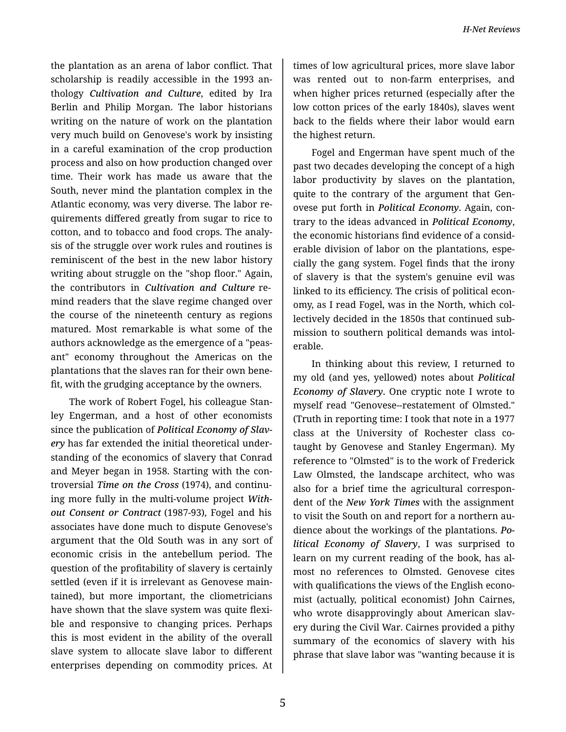the plantation as an arena of labor conflict. That scholarship is readily accessible in the 1993 an‐ thology *Cultivation and Culture*, edited by Ira Berlin and Philip Morgan. The labor historians writing on the nature of work on the plantation very much build on Genovese's work by insisting in a careful examination of the crop production process and also on how production changed over time. Their work has made us aware that the South, never mind the plantation complex in the Atlantic economy, was very diverse. The labor re‐ quirements differed greatly from sugar to rice to cotton, and to tobacco and food crops. The analy‐ sis of the struggle over work rules and routines is reminiscent of the best in the new labor history writing about struggle on the "shop floor." Again, the contributors in *Cultivation and Culture* re‐ mind readers that the slave regime changed over the course of the nineteenth century as regions matured. Most remarkable is what some of the authors acknowledge as the emergence of a "peas‐ ant" economy throughout the Americas on the plantations that the slaves ran for their own bene‐ fit, with the grudging acceptance by the owners.

The work of Robert Fogel, his colleague Stan‐ ley Engerman, and a host of other economists since the publication of *Political Economy of Slav‐ ery* has far extended the initial theoretical under‐ standing of the economics of slavery that Conrad and Meyer began in 1958. Starting with the con‐ troversial *Time on the Cross* (1974), and continu‐ ing more fully in the multi-volume project *With‐ out Consent or Contract* (1987-93), Fogel and his associates have done much to dispute Genovese's argument that the Old South was in any sort of economic crisis in the antebellum period. The question of the profitability of slavery is certainly settled (even if it is irrelevant as Genovese main‐ tained), but more important, the cliometricians have shown that the slave system was quite flexi‐ ble and responsive to changing prices. Perhaps this is most evident in the ability of the overall slave system to allocate slave labor to different enterprises depending on commodity prices. At

times of low agricultural prices, more slave labor was rented out to non-farm enterprises, and when higher prices returned (especially after the low cotton prices of the early 1840s), slaves went back to the fields where their labor would earn the highest return.

Fogel and Engerman have spent much of the past two decades developing the concept of a high labor productivity by slaves on the plantation, quite to the contrary of the argument that Gen‐ ovese put forth in *Political Economy*. Again, con‐ trary to the ideas advanced in *Political Economy*, the economic historians find evidence of a consid‐ erable division of labor on the plantations, espe‐ cially the gang system. Fogel finds that the irony of slavery is that the system's genuine evil was linked to its efficiency. The crisis of political econ‐ omy, as I read Fogel, was in the North, which col‐ lectively decided in the 1850s that continued sub‐ mission to southern political demands was intol‐ erable.

In thinking about this review, I returned to my old (and yes, yellowed) notes about *Political Economy of Slavery*. One cryptic note I wrote to myself read "Genovese--restatement of Olmsted." (Truth in reporting time: I took that note in a 1977 class at the University of Rochester class cotaught by Genovese and Stanley Engerman). My reference to "Olmsted" is to the work of Frederick Law Olmsted, the landscape architect, who was also for a brief time the agricultural correspon‐ dent of the *New York Times* with the assignment to visit the South on and report for a northern au‐ dience about the workings of the plantations. *Po‐ litical Economy of Slavery*, I was surprised to learn on my current reading of the book, has al‐ most no references to Olmsted. Genovese cites with qualifications the views of the English economist (actually, political economist) John Cairnes, who wrote disapprovingly about American slavery during the Civil War. Cairnes provided a pithy summary of the economics of slavery with his phrase that slave labor was "wanting because it is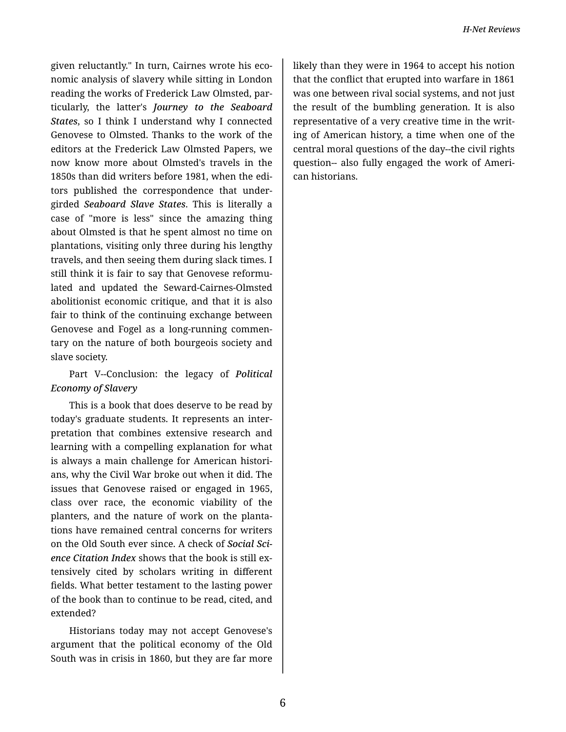given reluctantly." In turn, Cairnes wrote his eco‐ nomic analysis of slavery while sitting in London reading the works of Frederick Law Olmsted, par‐ ticularly, the latter's *Journey to the Seaboard States*, so I think I understand why I connected Genovese to Olmsted. Thanks to the work of the editors at the Frederick Law Olmsted Papers, we now know more about Olmsted's travels in the 1850s than did writers before 1981, when the edi‐ tors published the correspondence that under‐ girded *Seaboard Slave States*. This is literally a case of "more is less" since the amazing thing about Olmsted is that he spent almost no time on plantations, visiting only three during his lengthy travels, and then seeing them during slack times. I still think it is fair to say that Genovese reformu‐ lated and updated the Seward-Cairnes-Olmsted abolitionist economic critique, and that it is also fair to think of the continuing exchange between Genovese and Fogel as a long-running commen‐ tary on the nature of both bourgeois society and slave society.

## Part V--Conclusion: the legacy of *Political Economy of Slavery*

This is a book that does deserve to be read by today's graduate students. It represents an inter‐ pretation that combines extensive research and learning with a compelling explanation for what is always a main challenge for American histori‐ ans, why the Civil War broke out when it did. The issues that Genovese raised or engaged in 1965, class over race, the economic viability of the planters, and the nature of work on the planta‐ tions have remained central concerns for writers on the Old South ever since. A check of *Social Sci‐ ence Citation Index* shows that the book is still ex‐ tensively cited by scholars writing in different fields. What better testament to the lasting power of the book than to continue to be read, cited, and extended?

Historians today may not accept Genovese's argument that the political economy of the Old South was in crisis in 1860, but they are far more

likely than they were in 1964 to accept his notion that the conflict that erupted into warfare in 1861 was one between rival social systems, and not just the result of the bumbling generation. It is also representative of a very creative time in the writ‐ ing of American history, a time when one of the central moral questions of the day--the civil rights question-- also fully engaged the work of Ameri‐ can historians.